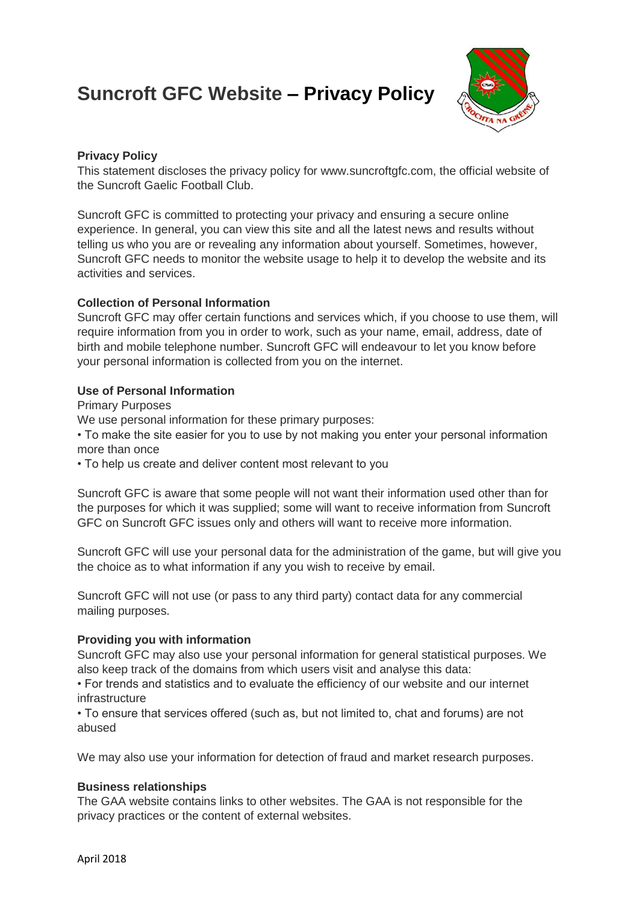# **Suncroft GFC Website – Privacy Policy**



### **Privacy Policy**

This statement discloses the privacy policy for www.suncroftgfc.com, the official website of the Suncroft Gaelic Football Club.

Suncroft GFC is committed to protecting your privacy and ensuring a secure online experience. In general, you can view this site and all the latest news and results without telling us who you are or revealing any information about yourself. Sometimes, however, Suncroft GFC needs to monitor the website usage to help it to develop the website and its activities and services.

### **Collection of Personal Information**

Suncroft GFC may offer certain functions and services which, if you choose to use them, will require information from you in order to work, such as your name, email, address, date of birth and mobile telephone number. Suncroft GFC will endeavour to let you know before your personal information is collected from you on the internet.

## **Use of Personal Information**

Primary Purposes

We use personal information for these primary purposes:

• To make the site easier for you to use by not making you enter your personal information more than once

• To help us create and deliver content most relevant to you

Suncroft GFC is aware that some people will not want their information used other than for the purposes for which it was supplied; some will want to receive information from Suncroft GFC on Suncroft GFC issues only and others will want to receive more information.

Suncroft GFC will use your personal data for the administration of the game, but will give you the choice as to what information if any you wish to receive by email.

Suncroft GFC will not use (or pass to any third party) contact data for any commercial mailing purposes.

### **Providing you with information**

Suncroft GFC may also use your personal information for general statistical purposes. We also keep track of the domains from which users visit and analyse this data:

• For trends and statistics and to evaluate the efficiency of our website and our internet infrastructure

• To ensure that services offered (such as, but not limited to, chat and forums) are not abused

We may also use your information for detection of fraud and market research purposes.

### **Business relationships**

The GAA website contains links to other websites. The GAA is not responsible for the privacy practices or the content of external websites.